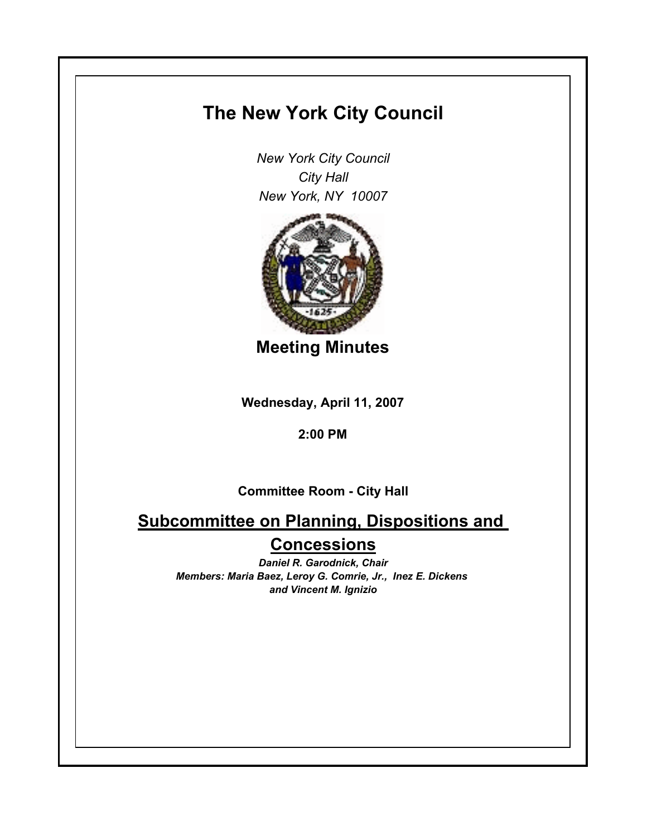# **The New York City Council**

*New York City Council City Hall New York, NY 10007*



**Meeting Minutes**

**Wednesday, April 11, 2007**

### **2:00 PM**

**Committee Room - City Hall**

## **Subcommittee on Planning, Dispositions and Concessions**

*Daniel R. Garodnick, Chair Members: Maria Baez, Leroy G. Comrie, Jr., Inez E. Dickens and Vincent M. Ignizio*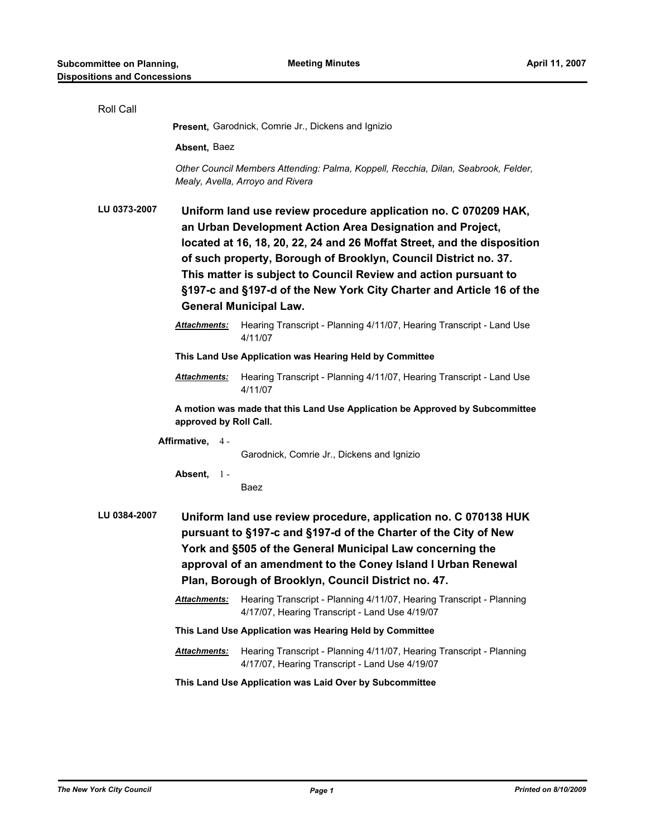| Roll Call                                                                                                                                                                                                                                                                                                                                                                                                                      |                                                                                                                                                                                                                                                                                                                                                                                                                                                        |                                                                                                                        |  |
|--------------------------------------------------------------------------------------------------------------------------------------------------------------------------------------------------------------------------------------------------------------------------------------------------------------------------------------------------------------------------------------------------------------------------------|--------------------------------------------------------------------------------------------------------------------------------------------------------------------------------------------------------------------------------------------------------------------------------------------------------------------------------------------------------------------------------------------------------------------------------------------------------|------------------------------------------------------------------------------------------------------------------------|--|
|                                                                                                                                                                                                                                                                                                                                                                                                                                | Present, Garodnick, Comrie Jr., Dickens and Ignizio                                                                                                                                                                                                                                                                                                                                                                                                    |                                                                                                                        |  |
|                                                                                                                                                                                                                                                                                                                                                                                                                                | Absent, Baez                                                                                                                                                                                                                                                                                                                                                                                                                                           |                                                                                                                        |  |
|                                                                                                                                                                                                                                                                                                                                                                                                                                |                                                                                                                                                                                                                                                                                                                                                                                                                                                        | Other Council Members Attending: Palma, Koppell, Recchia, Dilan, Seabrook, Felder,<br>Mealy, Avella, Arroyo and Rivera |  |
| LU 0373-2007                                                                                                                                                                                                                                                                                                                                                                                                                   | Uniform land use review procedure application no. C 070209 HAK,<br>an Urban Development Action Area Designation and Project,<br>located at 16, 18, 20, 22, 24 and 26 Moffat Street, and the disposition<br>of such property, Borough of Brooklyn, Council District no. 37.<br>This matter is subject to Council Review and action pursuant to<br>§197-c and §197-d of the New York City Charter and Article 16 of the<br><b>General Municipal Law.</b> |                                                                                                                        |  |
|                                                                                                                                                                                                                                                                                                                                                                                                                                | <b>Attachments:</b>                                                                                                                                                                                                                                                                                                                                                                                                                                    | Hearing Transcript - Planning 4/11/07, Hearing Transcript - Land Use<br>4/11/07                                        |  |
|                                                                                                                                                                                                                                                                                                                                                                                                                                |                                                                                                                                                                                                                                                                                                                                                                                                                                                        | This Land Use Application was Hearing Held by Committee                                                                |  |
|                                                                                                                                                                                                                                                                                                                                                                                                                                | Attachments:                                                                                                                                                                                                                                                                                                                                                                                                                                           | Hearing Transcript - Planning 4/11/07, Hearing Transcript - Land Use<br>4/11/07                                        |  |
| A motion was made that this Land Use Application be Approved by Subcommittee<br>approved by Roll Call.                                                                                                                                                                                                                                                                                                                         |                                                                                                                                                                                                                                                                                                                                                                                                                                                        |                                                                                                                        |  |
|                                                                                                                                                                                                                                                                                                                                                                                                                                | Affirmative, $4 -$                                                                                                                                                                                                                                                                                                                                                                                                                                     | Garodnick, Comrie Jr., Dickens and Ignizio                                                                             |  |
|                                                                                                                                                                                                                                                                                                                                                                                                                                | Absent,<br>$1 -$                                                                                                                                                                                                                                                                                                                                                                                                                                       | Baez                                                                                                                   |  |
| LU 0384-2007<br>Uniform land use review procedure, application no. C 070138 HUK<br>pursuant to §197-c and §197-d of the Charter of the City of New<br>York and §505 of the General Municipal Law concerning the<br>approval of an amendment to the Coney Island I Urban Renewal<br>Plan, Borough of Brooklyn, Council District no. 47.<br>Attachments:<br>Hearing Transcript - Planning 4/11/07, Hearing Transcript - Planning |                                                                                                                                                                                                                                                                                                                                                                                                                                                        |                                                                                                                        |  |
|                                                                                                                                                                                                                                                                                                                                                                                                                                |                                                                                                                                                                                                                                                                                                                                                                                                                                                        | 4/17/07, Hearing Transcript - Land Use 4/19/07                                                                         |  |
|                                                                                                                                                                                                                                                                                                                                                                                                                                |                                                                                                                                                                                                                                                                                                                                                                                                                                                        | This Land Use Application was Hearing Held by Committee                                                                |  |
|                                                                                                                                                                                                                                                                                                                                                                                                                                | Attachments:                                                                                                                                                                                                                                                                                                                                                                                                                                           | Hearing Transcript - Planning 4/11/07, Hearing Transcript - Planning<br>4/17/07, Hearing Transcript - Land Use 4/19/07 |  |
|                                                                                                                                                                                                                                                                                                                                                                                                                                |                                                                                                                                                                                                                                                                                                                                                                                                                                                        | This Land Use Application was Laid Over by Subcommittee                                                                |  |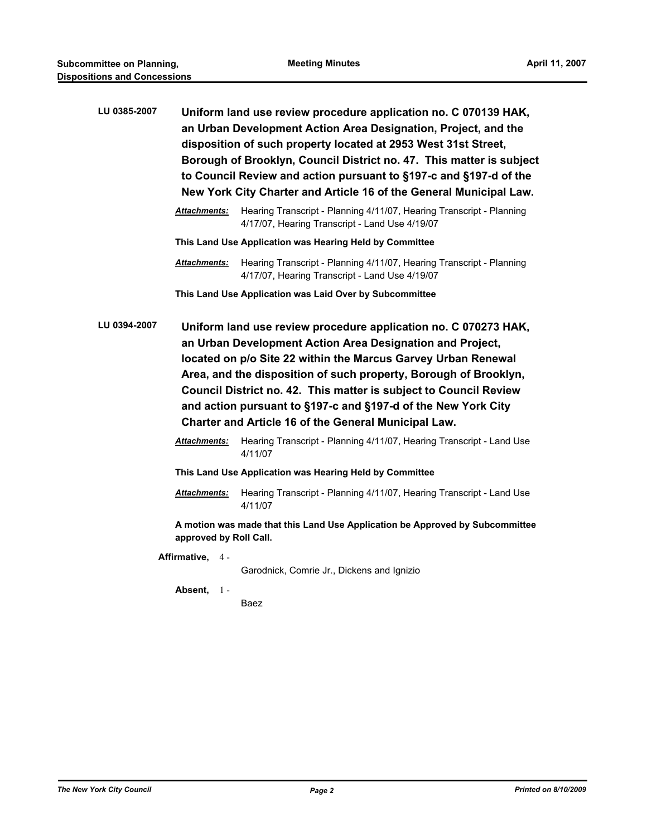| LU 0385-2007 | Uniform land use review procedure application no. C 070139 HAK,<br>an Urban Development Action Area Designation, Project, and the<br>disposition of such property located at 2953 West 31st Street,<br>Borough of Brooklyn, Council District no. 47. This matter is subject<br>to Council Review and action pursuant to §197-c and §197-d of the<br>New York City Charter and Article 16 of the General Municipal Law.                                                 |                                                                                                                        |  |
|--------------|------------------------------------------------------------------------------------------------------------------------------------------------------------------------------------------------------------------------------------------------------------------------------------------------------------------------------------------------------------------------------------------------------------------------------------------------------------------------|------------------------------------------------------------------------------------------------------------------------|--|
|              | <b>Attachments:</b>                                                                                                                                                                                                                                                                                                                                                                                                                                                    | Hearing Transcript - Planning 4/11/07, Hearing Transcript - Planning<br>4/17/07, Hearing Transcript - Land Use 4/19/07 |  |
|              |                                                                                                                                                                                                                                                                                                                                                                                                                                                                        | This Land Use Application was Hearing Held by Committee                                                                |  |
|              | <b>Attachments:</b>                                                                                                                                                                                                                                                                                                                                                                                                                                                    | Hearing Transcript - Planning 4/11/07, Hearing Transcript - Planning<br>4/17/07, Hearing Transcript - Land Use 4/19/07 |  |
|              |                                                                                                                                                                                                                                                                                                                                                                                                                                                                        | This Land Use Application was Laid Over by Subcommittee                                                                |  |
| LU 0394-2007 | Uniform land use review procedure application no. C 070273 HAK,<br>an Urban Development Action Area Designation and Project,<br>located on p/o Site 22 within the Marcus Garvey Urban Renewal<br>Area, and the disposition of such property, Borough of Brooklyn,<br>Council District no. 42. This matter is subject to Council Review<br>and action pursuant to §197-c and §197-d of the New York City<br><b>Charter and Article 16 of the General Municipal Law.</b> |                                                                                                                        |  |
|              | <b>Attachments:</b>                                                                                                                                                                                                                                                                                                                                                                                                                                                    | Hearing Transcript - Planning 4/11/07, Hearing Transcript - Land Use<br>4/11/07                                        |  |
|              |                                                                                                                                                                                                                                                                                                                                                                                                                                                                        | This Land Use Application was Hearing Held by Committee                                                                |  |
|              | Attachments:                                                                                                                                                                                                                                                                                                                                                                                                                                                           | Hearing Transcript - Planning 4/11/07, Hearing Transcript - Land Use<br>4/11/07                                        |  |
|              | approved by Roll Call.                                                                                                                                                                                                                                                                                                                                                                                                                                                 | A motion was made that this Land Use Application be Approved by Subcommittee                                           |  |
|              | Affirmative, 4-                                                                                                                                                                                                                                                                                                                                                                                                                                                        | Garodnick, Comrie Jr., Dickens and Ignizio                                                                             |  |
|              | Absent,<br>$1 -$                                                                                                                                                                                                                                                                                                                                                                                                                                                       |                                                                                                                        |  |

Baez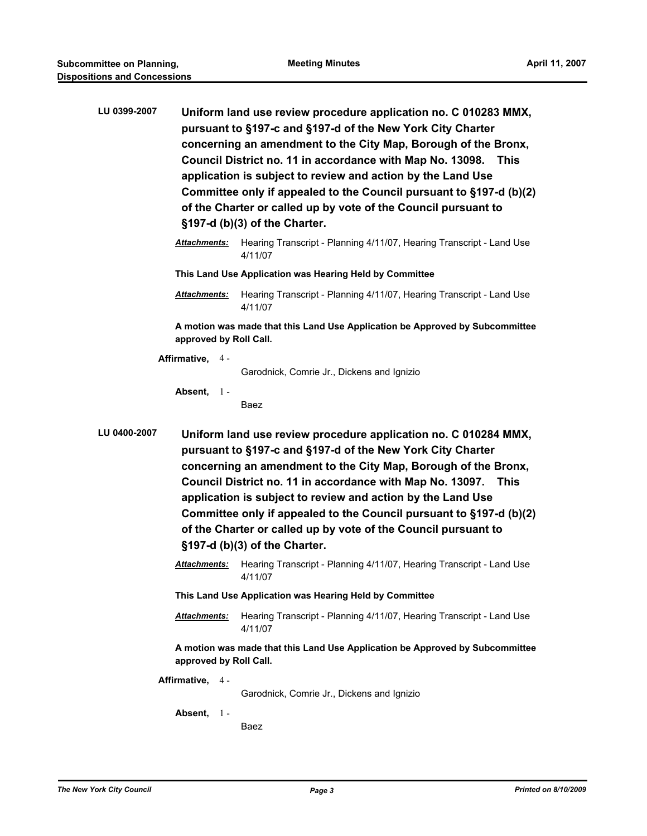| LU 0399-2007                                                                                                                                                                                                                                                                                                                                                                                                                                                                                                               | Uniform land use review procedure application no. C 010283 MMX,<br>pursuant to §197-c and §197-d of the New York City Charter<br>concerning an amendment to the City Map, Borough of the Bronx,<br>Council District no. 11 in accordance with Map No. 13098. This<br>application is subject to review and action by the Land Use<br>Committee only if appealed to the Council pursuant to §197-d (b)(2)<br>of the Charter or called up by vote of the Council pursuant to<br>§197-d (b)(3) of the Charter. |                                                                                 |  |
|----------------------------------------------------------------------------------------------------------------------------------------------------------------------------------------------------------------------------------------------------------------------------------------------------------------------------------------------------------------------------------------------------------------------------------------------------------------------------------------------------------------------------|------------------------------------------------------------------------------------------------------------------------------------------------------------------------------------------------------------------------------------------------------------------------------------------------------------------------------------------------------------------------------------------------------------------------------------------------------------------------------------------------------------|---------------------------------------------------------------------------------|--|
|                                                                                                                                                                                                                                                                                                                                                                                                                                                                                                                            | <b>Attachments:</b>                                                                                                                                                                                                                                                                                                                                                                                                                                                                                        | Hearing Transcript - Planning 4/11/07, Hearing Transcript - Land Use<br>4/11/07 |  |
|                                                                                                                                                                                                                                                                                                                                                                                                                                                                                                                            |                                                                                                                                                                                                                                                                                                                                                                                                                                                                                                            | This Land Use Application was Hearing Held by Committee                         |  |
|                                                                                                                                                                                                                                                                                                                                                                                                                                                                                                                            | <b>Attachments:</b>                                                                                                                                                                                                                                                                                                                                                                                                                                                                                        | Hearing Transcript - Planning 4/11/07, Hearing Transcript - Land Use<br>4/11/07 |  |
| A motion was made that this Land Use Application be Approved by Subcommittee<br>approved by Roll Call.                                                                                                                                                                                                                                                                                                                                                                                                                     |                                                                                                                                                                                                                                                                                                                                                                                                                                                                                                            |                                                                                 |  |
|                                                                                                                                                                                                                                                                                                                                                                                                                                                                                                                            | Affirmative, 4 -                                                                                                                                                                                                                                                                                                                                                                                                                                                                                           |                                                                                 |  |
|                                                                                                                                                                                                                                                                                                                                                                                                                                                                                                                            |                                                                                                                                                                                                                                                                                                                                                                                                                                                                                                            | Garodnick, Comrie Jr., Dickens and Ignizio                                      |  |
|                                                                                                                                                                                                                                                                                                                                                                                                                                                                                                                            | Absent,<br>$1 -$                                                                                                                                                                                                                                                                                                                                                                                                                                                                                           | Baez                                                                            |  |
| LU 0400-2007<br>Uniform land use review procedure application no. C 010284 MMX,<br>pursuant to §197-c and §197-d of the New York City Charter<br>concerning an amendment to the City Map, Borough of the Bronx,<br>Council District no. 11 in accordance with Map No. 13097. This<br>application is subject to review and action by the Land Use<br>Committee only if appealed to the Council pursuant to §197-d (b)(2)<br>of the Charter or called up by vote of the Council pursuant to<br>§197-d (b)(3) of the Charter. |                                                                                                                                                                                                                                                                                                                                                                                                                                                                                                            |                                                                                 |  |
|                                                                                                                                                                                                                                                                                                                                                                                                                                                                                                                            | Attachments:                                                                                                                                                                                                                                                                                                                                                                                                                                                                                               | Hearing Transcript - Planning 4/11/07, Hearing Transcript - Land Use<br>4/11/07 |  |
|                                                                                                                                                                                                                                                                                                                                                                                                                                                                                                                            | This Land Use Application was Hearing Held by Committee                                                                                                                                                                                                                                                                                                                                                                                                                                                    |                                                                                 |  |
|                                                                                                                                                                                                                                                                                                                                                                                                                                                                                                                            | <b>Attachments:</b>                                                                                                                                                                                                                                                                                                                                                                                                                                                                                        | Hearing Transcript - Planning 4/11/07, Hearing Transcript - Land Use<br>4/11/07 |  |
| A motion was made that this Land Use Application be Approved by Subcommittee<br>approved by Roll Call.                                                                                                                                                                                                                                                                                                                                                                                                                     |                                                                                                                                                                                                                                                                                                                                                                                                                                                                                                            |                                                                                 |  |
|                                                                                                                                                                                                                                                                                                                                                                                                                                                                                                                            | Affirmative, 4 -                                                                                                                                                                                                                                                                                                                                                                                                                                                                                           | Garodnick, Comrie Jr., Dickens and Ignizio                                      |  |
|                                                                                                                                                                                                                                                                                                                                                                                                                                                                                                                            | Absent, $1 -$                                                                                                                                                                                                                                                                                                                                                                                                                                                                                              | Baez                                                                            |  |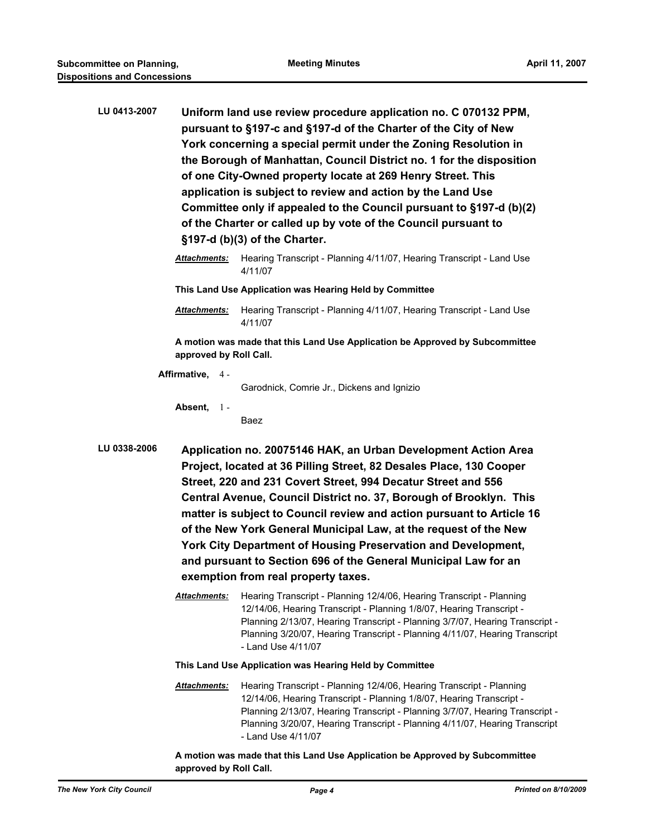| LU 0413-2007 | Uniform land use review procedure application no. C 070132 PPM,<br>pursuant to §197-c and §197-d of the Charter of the City of New<br>York concerning a special permit under the Zoning Resolution in<br>the Borough of Manhattan, Council District no. 1 for the disposition<br>of one City-Owned property locate at 269 Henry Street. This<br>application is subject to review and action by the Land Use<br>Committee only if appealed to the Council pursuant to §197-d (b)(2)<br>of the Charter or called up by vote of the Council pursuant to<br>§197-d (b)(3) of the Charter.                |                                                                                                                                                                                                                                                                                                                                   |  |
|--------------|------------------------------------------------------------------------------------------------------------------------------------------------------------------------------------------------------------------------------------------------------------------------------------------------------------------------------------------------------------------------------------------------------------------------------------------------------------------------------------------------------------------------------------------------------------------------------------------------------|-----------------------------------------------------------------------------------------------------------------------------------------------------------------------------------------------------------------------------------------------------------------------------------------------------------------------------------|--|
|              | <b>Attachments:</b>                                                                                                                                                                                                                                                                                                                                                                                                                                                                                                                                                                                  | Hearing Transcript - Planning 4/11/07, Hearing Transcript - Land Use<br>4/11/07                                                                                                                                                                                                                                                   |  |
|              | This Land Use Application was Hearing Held by Committee                                                                                                                                                                                                                                                                                                                                                                                                                                                                                                                                              |                                                                                                                                                                                                                                                                                                                                   |  |
|              | <b>Attachments:</b>                                                                                                                                                                                                                                                                                                                                                                                                                                                                                                                                                                                  | Hearing Transcript - Planning 4/11/07, Hearing Transcript - Land Use<br>4/11/07                                                                                                                                                                                                                                                   |  |
|              | A motion was made that this Land Use Application be Approved by Subcommittee<br>approved by Roll Call.                                                                                                                                                                                                                                                                                                                                                                                                                                                                                               |                                                                                                                                                                                                                                                                                                                                   |  |
|              | Affirmative, 4-                                                                                                                                                                                                                                                                                                                                                                                                                                                                                                                                                                                      | Garodnick, Comrie Jr., Dickens and Ignizio                                                                                                                                                                                                                                                                                        |  |
|              | Absent, $1 -$                                                                                                                                                                                                                                                                                                                                                                                                                                                                                                                                                                                        | Baez                                                                                                                                                                                                                                                                                                                              |  |
| LU 0338-2006 | Application no. 20075146 HAK, an Urban Development Action Area<br>Project, located at 36 Pilling Street, 82 Desales Place, 130 Cooper<br>Street, 220 and 231 Covert Street, 994 Decatur Street and 556<br>Central Avenue, Council District no. 37, Borough of Brooklyn. This<br>matter is subject to Council review and action pursuant to Article 16<br>of the New York General Municipal Law, at the request of the New<br>York City Department of Housing Preservation and Development,<br>and pursuant to Section 696 of the General Municipal Law for an<br>exemption from real property taxes. |                                                                                                                                                                                                                                                                                                                                   |  |
|              | Attachments:                                                                                                                                                                                                                                                                                                                                                                                                                                                                                                                                                                                         | Hearing Transcript - Planning 12/4/06, Hearing Transcript - Planning<br>12/14/06, Hearing Transcript - Planning 1/8/07, Hearing Transcript -<br>Planning 2/13/07, Hearing Transcript - Planning 3/7/07, Hearing Transcript -<br>Planning 3/20/07, Hearing Transcript - Planning 4/11/07, Hearing Transcript<br>- Land Use 4/11/07 |  |
|              | This Land Use Application was Hearing Held by Committee                                                                                                                                                                                                                                                                                                                                                                                                                                                                                                                                              |                                                                                                                                                                                                                                                                                                                                   |  |
|              |                                                                                                                                                                                                                                                                                                                                                                                                                                                                                                                                                                                                      | Attachments: Hearing Transcript - Planning 12/4/06 Hearing Transcript - Planning                                                                                                                                                                                                                                                  |  |

*Attachments:* Hearing Transcript - Planning 12/4/06, Hearing Transcript - Planning 12/14/06, Hearing Transcript - Planning 1/8/07, Hearing Transcript - Planning 2/13/07, Hearing Transcript - Planning 3/7/07, Hearing Transcript - Planning 3/20/07, Hearing Transcript - Planning 4/11/07, Hearing Transcript - Land Use 4/11/07

**A motion was made that this Land Use Application be Approved by Subcommittee approved by Roll Call.**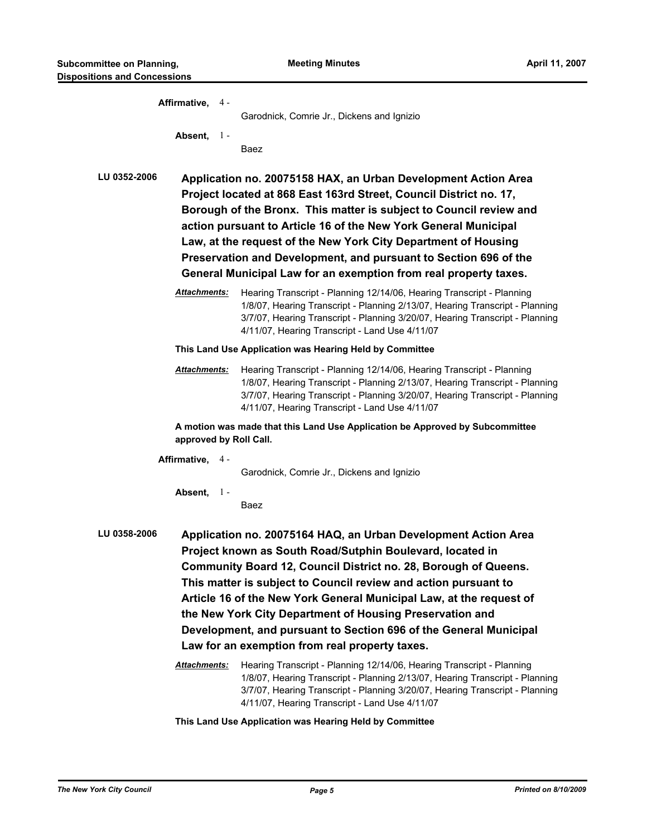|                     | Affirmative, 4 -       |                                                         |                                                                                                                                                                                                                                                                                                                                                                                                                                                                                                                                                                                                      |  |
|---------------------|------------------------|---------------------------------------------------------|------------------------------------------------------------------------------------------------------------------------------------------------------------------------------------------------------------------------------------------------------------------------------------------------------------------------------------------------------------------------------------------------------------------------------------------------------------------------------------------------------------------------------------------------------------------------------------------------------|--|
|                     |                        |                                                         | Garodnick, Comrie Jr., Dickens and Ignizio                                                                                                                                                                                                                                                                                                                                                                                                                                                                                                                                                           |  |
|                     | Absent, $1 -$          |                                                         | Baez                                                                                                                                                                                                                                                                                                                                                                                                                                                                                                                                                                                                 |  |
| LU 0352-2006        |                        |                                                         | Application no. 20075158 HAX, an Urban Development Action Area<br>Project located at 868 East 163rd Street, Council District no. 17,<br>Borough of the Bronx. This matter is subject to Council review and<br>action pursuant to Article 16 of the New York General Municipal<br>Law, at the request of the New York City Department of Housing<br>Preservation and Development, and pursuant to Section 696 of the<br>General Municipal Law for an exemption from real property taxes.                                                                                                              |  |
|                     | Attachments:           |                                                         | Hearing Transcript - Planning 12/14/06, Hearing Transcript - Planning<br>1/8/07, Hearing Transcript - Planning 2/13/07, Hearing Transcript - Planning<br>3/7/07, Hearing Transcript - Planning 3/20/07, Hearing Transcript - Planning<br>4/11/07, Hearing Transcript - Land Use 4/11/07                                                                                                                                                                                                                                                                                                              |  |
|                     |                        | This Land Use Application was Hearing Held by Committee |                                                                                                                                                                                                                                                                                                                                                                                                                                                                                                                                                                                                      |  |
|                     | <b>Attachments:</b>    |                                                         | Hearing Transcript - Planning 12/14/06, Hearing Transcript - Planning<br>1/8/07, Hearing Transcript - Planning 2/13/07, Hearing Transcript - Planning<br>3/7/07, Hearing Transcript - Planning 3/20/07, Hearing Transcript - Planning<br>4/11/07, Hearing Transcript - Land Use 4/11/07                                                                                                                                                                                                                                                                                                              |  |
|                     | approved by Roll Call. |                                                         | A motion was made that this Land Use Application be Approved by Subcommittee                                                                                                                                                                                                                                                                                                                                                                                                                                                                                                                         |  |
|                     | Affirmative, 4 -       |                                                         | Garodnick, Comrie Jr., Dickens and Ignizio                                                                                                                                                                                                                                                                                                                                                                                                                                                                                                                                                           |  |
|                     | Absent, $1 -$          |                                                         | Baez                                                                                                                                                                                                                                                                                                                                                                                                                                                                                                                                                                                                 |  |
| <b>LU 0358-2006</b> | Attachments:           |                                                         | Application no. 20075164 HAQ, an Urban Development Action Area<br>Project known as South Road/Sutphin Boulevard, located in<br>Community Board 12, Council District no. 28, Borough of Queens.<br>This matter is subject to Council review and action pursuant to<br>Article 16 of the New York General Municipal Law, at the request of<br>the New York City Department of Housing Preservation and<br>Development, and pursuant to Section 696 of the General Municipal<br>Law for an exemption from real property taxes.<br>Hearing Transcript - Planning 12/14/06, Hearing Transcript - Planning |  |
|                     |                        |                                                         | 1/8/07, Hearing Transcript - Planning 2/13/07, Hearing Transcript - Planning<br>3/7/07, Hearing Transcript - Planning 3/20/07, Hearing Transcript - Planning<br>4/11/07, Hearing Transcript - Land Use 4/11/07                                                                                                                                                                                                                                                                                                                                                                                       |  |

**This Land Use Application was Hearing Held by Committee**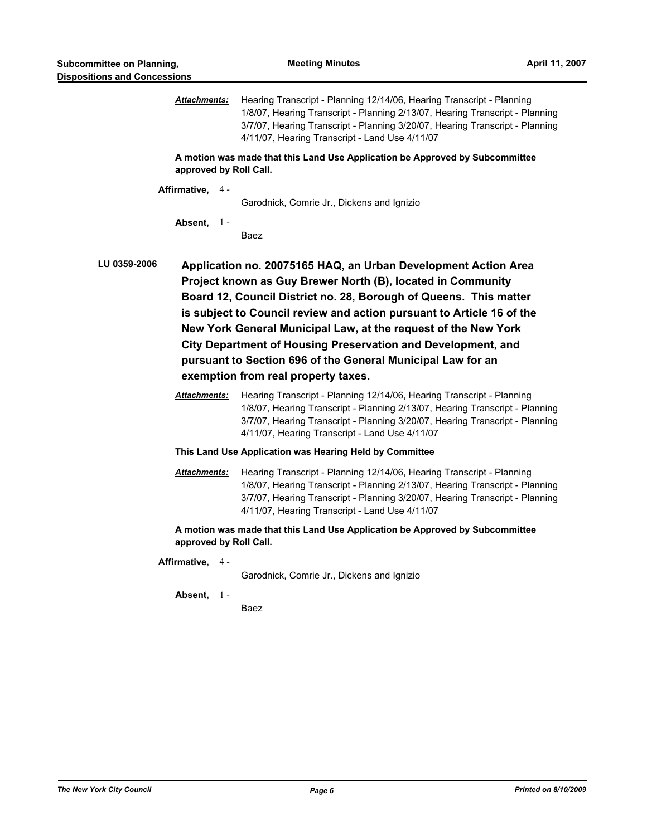| <u>Attachments:</u>                                                                                    | Hearing Transcript - Planning 12/14/06, Hearing Transcript - Planning<br>1/8/07, Hearing Transcript - Planning 2/13/07, Hearing Transcript - Planning<br>3/7/07, Hearing Transcript - Planning 3/20/07, Hearing Transcript - Planning<br>4/11/07, Hearing Transcript - Land Use 4/11/07                                                                                                                                                                                                                                                                                                                                                                                                                                                                                                                        |  |
|--------------------------------------------------------------------------------------------------------|----------------------------------------------------------------------------------------------------------------------------------------------------------------------------------------------------------------------------------------------------------------------------------------------------------------------------------------------------------------------------------------------------------------------------------------------------------------------------------------------------------------------------------------------------------------------------------------------------------------------------------------------------------------------------------------------------------------------------------------------------------------------------------------------------------------|--|
| approved by Roll Call.                                                                                 | A motion was made that this Land Use Application be Approved by Subcommittee                                                                                                                                                                                                                                                                                                                                                                                                                                                                                                                                                                                                                                                                                                                                   |  |
| Affirmative, 4 -                                                                                       | Garodnick, Comrie Jr., Dickens and Ignizio                                                                                                                                                                                                                                                                                                                                                                                                                                                                                                                                                                                                                                                                                                                                                                     |  |
| Absent, $1 -$                                                                                          | Baez                                                                                                                                                                                                                                                                                                                                                                                                                                                                                                                                                                                                                                                                                                                                                                                                           |  |
| LU 0359-2006<br><b>Attachments:</b>                                                                    | Application no. 20075165 HAQ, an Urban Development Action Area<br>Project known as Guy Brewer North (B), located in Community<br>Board 12, Council District no. 28, Borough of Queens. This matter<br>is subject to Council review and action pursuant to Article 16 of the<br>New York General Municipal Law, at the request of the New York<br>City Department of Housing Preservation and Development, and<br>pursuant to Section 696 of the General Municipal Law for an<br>exemption from real property taxes.<br>Hearing Transcript - Planning 12/14/06, Hearing Transcript - Planning<br>1/8/07, Hearing Transcript - Planning 2/13/07, Hearing Transcript - Planning<br>3/7/07, Hearing Transcript - Planning 3/20/07, Hearing Transcript - Planning<br>4/11/07, Hearing Transcript - Land Use 4/11/07 |  |
|                                                                                                        | This Land Use Application was Hearing Held by Committee                                                                                                                                                                                                                                                                                                                                                                                                                                                                                                                                                                                                                                                                                                                                                        |  |
| <b>Attachments:</b>                                                                                    | Hearing Transcript - Planning 12/14/06, Hearing Transcript - Planning<br>1/8/07, Hearing Transcript - Planning 2/13/07, Hearing Transcript - Planning<br>3/7/07, Hearing Transcript - Planning 3/20/07, Hearing Transcript - Planning<br>4/11/07, Hearing Transcript - Land Use 4/11/07                                                                                                                                                                                                                                                                                                                                                                                                                                                                                                                        |  |
| A motion was made that this Land Use Application be Approved by Subcommittee<br>approved by Roll Call. |                                                                                                                                                                                                                                                                                                                                                                                                                                                                                                                                                                                                                                                                                                                                                                                                                |  |
| Affirmative, 4-                                                                                        | Garodnick, Comrie Jr., Dickens and Ignizio                                                                                                                                                                                                                                                                                                                                                                                                                                                                                                                                                                                                                                                                                                                                                                     |  |
| Absent,<br>$1 -$                                                                                       | Baez                                                                                                                                                                                                                                                                                                                                                                                                                                                                                                                                                                                                                                                                                                                                                                                                           |  |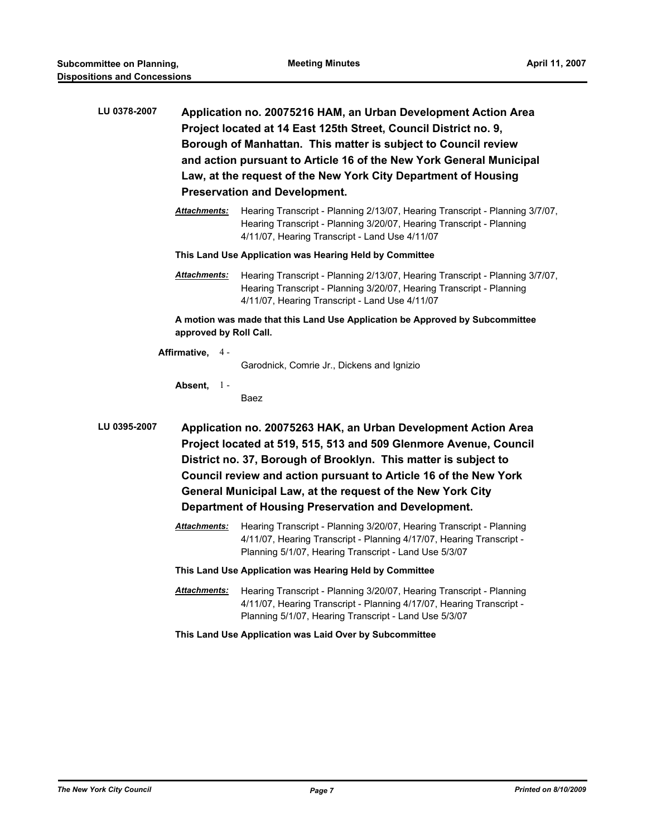| LU 0378-2007 | Application no. 20075216 HAM, an Urban Development Action Area<br>Project located at 14 East 125th Street, Council District no. 9,<br>Borough of Manhattan. This matter is subject to Council review<br>and action pursuant to Article 16 of the New York General Municipal<br>Law, at the request of the New York City Department of Housing                                                   |                                                                                                                                                                                                        |  |  |
|--------------|-------------------------------------------------------------------------------------------------------------------------------------------------------------------------------------------------------------------------------------------------------------------------------------------------------------------------------------------------------------------------------------------------|--------------------------------------------------------------------------------------------------------------------------------------------------------------------------------------------------------|--|--|
|              |                                                                                                                                                                                                                                                                                                                                                                                                 | <b>Preservation and Development.</b>                                                                                                                                                                   |  |  |
|              | <b>Attachments:</b>                                                                                                                                                                                                                                                                                                                                                                             | Hearing Transcript - Planning 2/13/07, Hearing Transcript - Planning 3/7/07,<br>Hearing Transcript - Planning 3/20/07, Hearing Transcript - Planning<br>4/11/07, Hearing Transcript - Land Use 4/11/07 |  |  |
|              |                                                                                                                                                                                                                                                                                                                                                                                                 | This Land Use Application was Hearing Held by Committee                                                                                                                                                |  |  |
|              | <b>Attachments:</b>                                                                                                                                                                                                                                                                                                                                                                             | Hearing Transcript - Planning 2/13/07, Hearing Transcript - Planning 3/7/07,<br>Hearing Transcript - Planning 3/20/07, Hearing Transcript - Planning<br>4/11/07, Hearing Transcript - Land Use 4/11/07 |  |  |
|              | approved by Roll Call.                                                                                                                                                                                                                                                                                                                                                                          | A motion was made that this Land Use Application be Approved by Subcommittee                                                                                                                           |  |  |
|              | Affirmative, 4 -                                                                                                                                                                                                                                                                                                                                                                                | Garodnick, Comrie Jr., Dickens and Ignizio                                                                                                                                                             |  |  |
|              | Absent,<br>$1 -$                                                                                                                                                                                                                                                                                                                                                                                | Baez                                                                                                                                                                                                   |  |  |
| LU 0395-2007 | Application no. 20075263 HAK, an Urban Development Action Area<br>Project located at 519, 515, 513 and 509 Glenmore Avenue, Council<br>District no. 37, Borough of Brooklyn. This matter is subject to<br>Council review and action pursuant to Article 16 of the New York<br>General Municipal Law, at the request of the New York City<br>Department of Housing Preservation and Development. |                                                                                                                                                                                                        |  |  |
|              | <b>Attachments:</b>                                                                                                                                                                                                                                                                                                                                                                             | Hearing Transcript - Planning 3/20/07, Hearing Transcript - Planning<br>4/11/07, Hearing Transcript - Planning 4/17/07, Hearing Transcript -<br>Planning 5/1/07, Hearing Transcript - Land Use 5/3/07  |  |  |
|              |                                                                                                                                                                                                                                                                                                                                                                                                 | This Land Use Application was Hearing Held by Committee                                                                                                                                                |  |  |
|              | <b>Attachments:</b>                                                                                                                                                                                                                                                                                                                                                                             | Hearing Transcript - Planning 3/20/07, Hearing Transcript - Planning<br>4/11/07, Hearing Transcript - Planning 4/17/07, Hearing Transcript -<br>Planning 5/1/07, Hearing Transcript - Land Use 5/3/07  |  |  |
|              |                                                                                                                                                                                                                                                                                                                                                                                                 | This Land Use Application was Laid Over by Subcommittee                                                                                                                                                |  |  |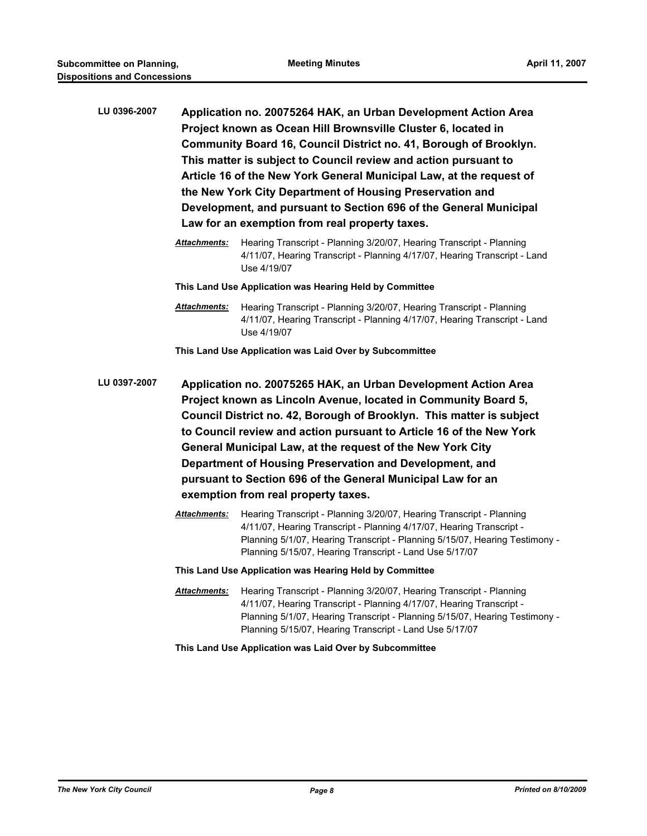| LU 0396-2007 | Application no. 20075264 HAK, an Urban Development Action Area      |
|--------------|---------------------------------------------------------------------|
|              | Project known as Ocean Hill Brownsville Cluster 6, located in       |
|              | Community Board 16, Council District no. 41, Borough of Brooklyn.   |
|              | This matter is subject to Council review and action pursuant to     |
|              | Article 16 of the New York General Municipal Law, at the request of |
|              | the New York City Department of Housing Preservation and            |
|              | Development, and pursuant to Section 696 of the General Municipal   |
|              | Law for an exemption from real property taxes.                      |
|              |                                                                     |

*Attachments:* Hearing Transcript - Planning 3/20/07, Hearing Transcript - Planning 4/11/07, Hearing Transcript - Planning 4/17/07, Hearing Transcript - Land Use 4/19/07

**This Land Use Application was Hearing Held by Committee**

*Attachments:* Hearing Transcript - Planning 3/20/07, Hearing Transcript - Planning 4/11/07, Hearing Transcript - Planning 4/17/07, Hearing Transcript - Land Use 4/19/07

**This Land Use Application was Laid Over by Subcommittee**

**LU 0397-2007 Application no. 20075265 HAK, an Urban Development Action Area Project known as Lincoln Avenue, located in Community Board 5, Council District no. 42, Borough of Brooklyn. This matter is subject to Council review and action pursuant to Article 16 of the New York General Municipal Law, at the request of the New York City Department of Housing Preservation and Development, and pursuant to Section 696 of the General Municipal Law for an exemption from real property taxes.**

- *Attachments:* Hearing Transcript Planning 3/20/07, Hearing Transcript Planning 4/11/07, Hearing Transcript - Planning 4/17/07, Hearing Transcript - Planning 5/1/07, Hearing Transcript - Planning 5/15/07, Hearing Testimony - Planning 5/15/07, Hearing Transcript - Land Use 5/17/07
- **This Land Use Application was Hearing Held by Committee**
- *Attachments:* Hearing Transcript Planning 3/20/07, Hearing Transcript Planning 4/11/07, Hearing Transcript - Planning 4/17/07, Hearing Transcript - Planning 5/1/07, Hearing Transcript - Planning 5/15/07, Hearing Testimony - Planning 5/15/07, Hearing Transcript - Land Use 5/17/07
- **This Land Use Application was Laid Over by Subcommittee**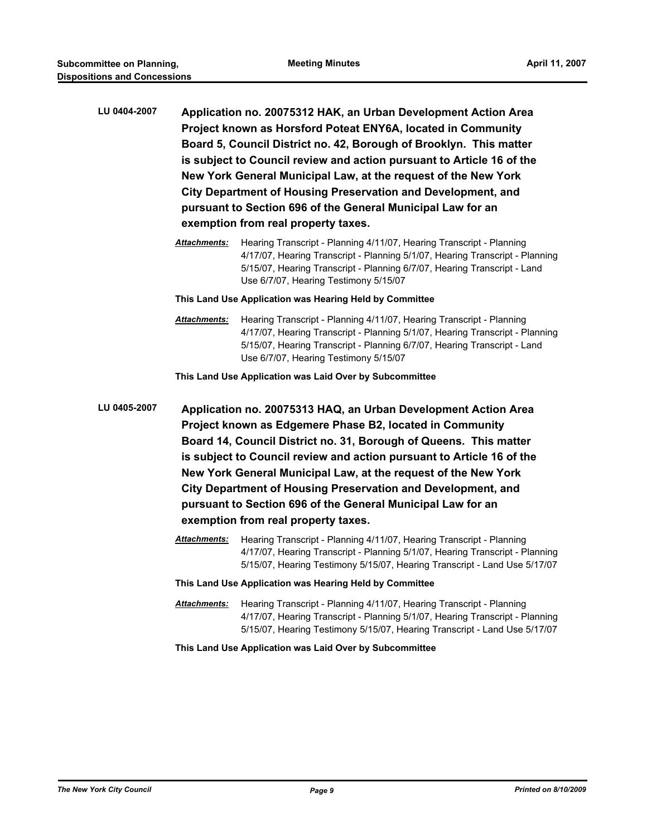- **LU 0404-2007 Application no. 20075312 HAK, an Urban Development Action Area Project known as Horsford Poteat ENY6A, located in Community Board 5, Council District no. 42, Borough of Brooklyn. This matter is subject to Council review and action pursuant to Article 16 of the New York General Municipal Law, at the request of the New York City Department of Housing Preservation and Development, and pursuant to Section 696 of the General Municipal Law for an exemption from real property taxes.**
	- *Attachments:* Hearing Transcript Planning 4/11/07, Hearing Transcript Planning 4/17/07, Hearing Transcript - Planning 5/1/07, Hearing Transcript - Planning 5/15/07, Hearing Transcript - Planning 6/7/07, Hearing Transcript - Land Use 6/7/07, Hearing Testimony 5/15/07

**This Land Use Application was Hearing Held by Committee**

*Attachments:* Hearing Transcript - Planning 4/11/07, Hearing Transcript - Planning 4/17/07, Hearing Transcript - Planning 5/1/07, Hearing Transcript - Planning 5/15/07, Hearing Transcript - Planning 6/7/07, Hearing Transcript - Land Use 6/7/07, Hearing Testimony 5/15/07

**This Land Use Application was Laid Over by Subcommittee**

**LU 0405-2007 Application no. 20075313 HAQ, an Urban Development Action Area Project known as Edgemere Phase B2, located in Community Board 14, Council District no. 31, Borough of Queens. This matter is subject to Council review and action pursuant to Article 16 of the New York General Municipal Law, at the request of the New York City Department of Housing Preservation and Development, and pursuant to Section 696 of the General Municipal Law for an exemption from real property taxes.**

- *Attachments:* Hearing Transcript Planning 4/11/07, Hearing Transcript Planning 4/17/07, Hearing Transcript - Planning 5/1/07, Hearing Transcript - Planning 5/15/07, Hearing Testimony 5/15/07, Hearing Transcript - Land Use 5/17/07
- **This Land Use Application was Hearing Held by Committee**
- *Attachments:* Hearing Transcript Planning 4/11/07, Hearing Transcript Planning 4/17/07, Hearing Transcript - Planning 5/1/07, Hearing Transcript - Planning 5/15/07, Hearing Testimony 5/15/07, Hearing Transcript - Land Use 5/17/07

#### **This Land Use Application was Laid Over by Subcommittee**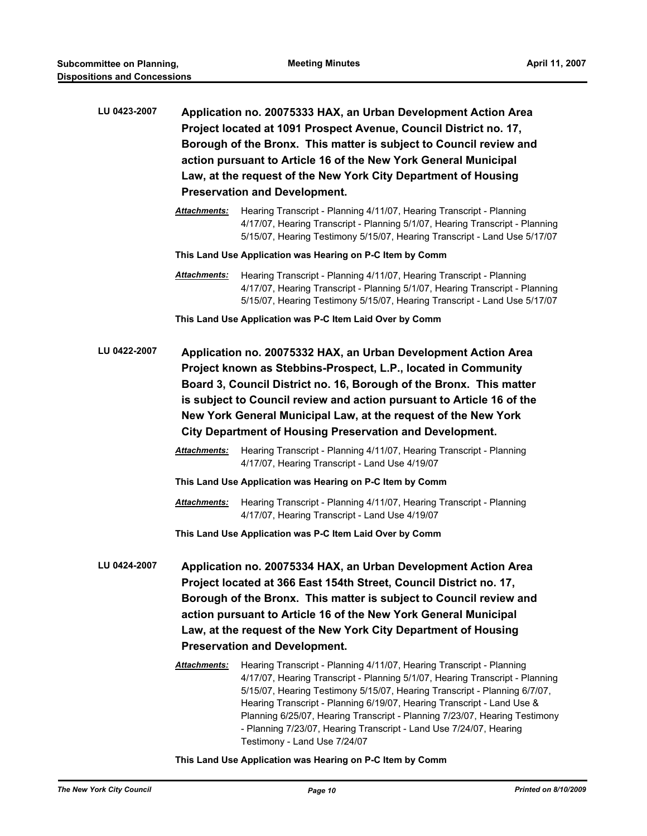| LU 0423-2007 | Application no. 20075333 HAX, an Urban Development Action Area<br>Project located at 1091 Prospect Avenue, Council District no. 17,<br>Borough of the Bronx. This matter is subject to Council review and<br>action pursuant to Article 16 of the New York General Municipal<br>Law, at the request of the New York City Department of Housing<br><b>Preservation and Development.</b>                                |                                                                                                                                                                                                                                                                                                                                                                                                                         |  |
|--------------|-----------------------------------------------------------------------------------------------------------------------------------------------------------------------------------------------------------------------------------------------------------------------------------------------------------------------------------------------------------------------------------------------------------------------|-------------------------------------------------------------------------------------------------------------------------------------------------------------------------------------------------------------------------------------------------------------------------------------------------------------------------------------------------------------------------------------------------------------------------|--|
|              |                                                                                                                                                                                                                                                                                                                                                                                                                       |                                                                                                                                                                                                                                                                                                                                                                                                                         |  |
|              | <b>Attachments:</b>                                                                                                                                                                                                                                                                                                                                                                                                   | Hearing Transcript - Planning 4/11/07, Hearing Transcript - Planning<br>4/17/07, Hearing Transcript - Planning 5/1/07, Hearing Transcript - Planning<br>5/15/07, Hearing Testimony 5/15/07, Hearing Transcript - Land Use 5/17/07                                                                                                                                                                                       |  |
|              | This Land Use Application was Hearing on P-C Item by Comm                                                                                                                                                                                                                                                                                                                                                             |                                                                                                                                                                                                                                                                                                                                                                                                                         |  |
|              | <b>Attachments:</b>                                                                                                                                                                                                                                                                                                                                                                                                   | Hearing Transcript - Planning 4/11/07, Hearing Transcript - Planning<br>4/17/07, Hearing Transcript - Planning 5/1/07, Hearing Transcript - Planning<br>5/15/07, Hearing Testimony 5/15/07, Hearing Transcript - Land Use 5/17/07                                                                                                                                                                                       |  |
|              | This Land Use Application was P-C Item Laid Over by Comm                                                                                                                                                                                                                                                                                                                                                              |                                                                                                                                                                                                                                                                                                                                                                                                                         |  |
| LU 0422-2007 | Application no. 20075332 HAX, an Urban Development Action Area<br>Project known as Stebbins-Prospect, L.P., located in Community<br>Board 3, Council District no. 16, Borough of the Bronx. This matter<br>is subject to Council review and action pursuant to Article 16 of the<br>New York General Municipal Law, at the request of the New York<br><b>City Department of Housing Preservation and Development.</b> |                                                                                                                                                                                                                                                                                                                                                                                                                         |  |
|              | <b>Attachments:</b>                                                                                                                                                                                                                                                                                                                                                                                                   | Hearing Transcript - Planning 4/11/07, Hearing Transcript - Planning<br>4/17/07, Hearing Transcript - Land Use 4/19/07                                                                                                                                                                                                                                                                                                  |  |
|              | This Land Use Application was Hearing on P-C Item by Comm                                                                                                                                                                                                                                                                                                                                                             |                                                                                                                                                                                                                                                                                                                                                                                                                         |  |
|              | <b>Attachments:</b>                                                                                                                                                                                                                                                                                                                                                                                                   | Hearing Transcript - Planning 4/11/07, Hearing Transcript - Planning<br>4/17/07, Hearing Transcript - Land Use 4/19/07                                                                                                                                                                                                                                                                                                  |  |
|              | This Land Use Application was P-C Item Laid Over by Comm                                                                                                                                                                                                                                                                                                                                                              |                                                                                                                                                                                                                                                                                                                                                                                                                         |  |
| LU 0424-2007 | Application no. 20075334 HAX, an Urban Development Action Area<br>Project located at 366 East 154th Street, Council District no. 17,<br>Borough of the Bronx. This matter is subject to Council review and<br>action pursuant to Article 16 of the New York General Municipal<br>Law, at the request of the New York City Department of Housing<br><b>Preservation and Development.</b>                               |                                                                                                                                                                                                                                                                                                                                                                                                                         |  |
|              | <b>Attachments:</b>                                                                                                                                                                                                                                                                                                                                                                                                   | Hearing Transcript - Planning 4/11/07, Hearing Transcript - Planning                                                                                                                                                                                                                                                                                                                                                    |  |
|              |                                                                                                                                                                                                                                                                                                                                                                                                                       | 4/17/07, Hearing Transcript - Planning 5/1/07, Hearing Transcript - Planning<br>5/15/07, Hearing Testimony 5/15/07, Hearing Transcript - Planning 6/7/07,<br>Hearing Transcript - Planning 6/19/07, Hearing Transcript - Land Use &<br>Planning 6/25/07, Hearing Transcript - Planning 7/23/07, Hearing Testimony<br>- Planning 7/23/07, Hearing Transcript - Land Use 7/24/07, Hearing<br>Testimony - Land Use 7/24/07 |  |

#### **This Land Use Application was Hearing on P-C Item by Comm**